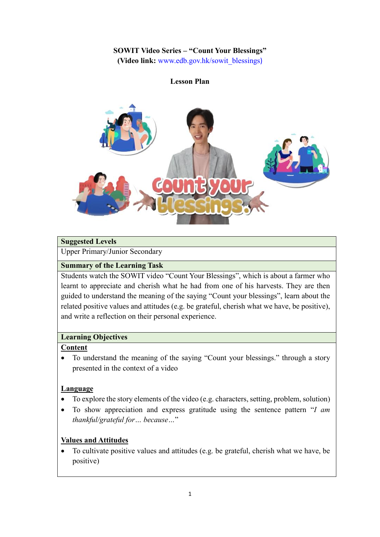## **SOWIT Video Series – "Count Your Blessings"**

**(Video link:** [www.edb.gov.hk/sowit\\_blessings](http://www.edb.gov.hk/sowit_blessings))

#### **Lesson Plan**



## **Suggested Levels**

Upper Primary/Junior Secondary

#### **Summary of the Learning Task**

Students watch the SOWIT video "Count Your Blessings", which is about a farmer who learnt to appreciate and cherish what he had from one of his harvests. They are then guided to understand the meaning of the saying "Count your blessings", learn about the related positive values and attitudes (e.g. be grateful, cherish what we have, be positive), and write a reflection on their personal experience.

#### **Learning Objectives**

#### **Content**

 To understand the meaning of the saying "Count your blessings." through a story presented in the context of a video

## **Language**

- To explore the story elements of the video (e.g. characters, setting, problem, solution)
- To show appreciation and express gratitude using the sentence pattern "*I am thankful/grateful for… because…*"

## **Values and Attitudes**

 To cultivate positive values and attitudes (e.g. be grateful, cherish what we have, be positive)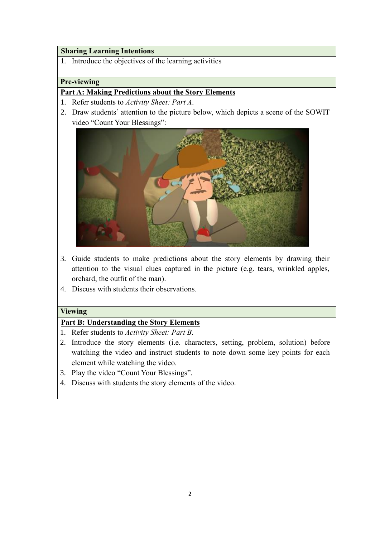## **Sharing Learning Intentions**

1. Introduce the objectives of the learning activities

#### **Pre-viewing**

## **Part A: Making Predictions about the Story Elements**

- 1. Refer students to *Activity Sheet: Part A*.
- 2. Draw students' attention to the picture below, which depicts a scene of the SOWIT video "Count Your Blessings":



- 3. Guide students to make predictions about the story elements by drawing their attention to the visual clues captured in the picture (e.g. tears, wrinkled apples, orchard, the outfit of the man).
- 4. Discuss with students their observations.

## **Viewing**

## **Part B: Understanding the Story Elements**

- 1. Refer students to *Activity Sheet: Part B*.
- 2. Introduce the story elements (i.e. characters, setting, problem, solution) before watching the video and instruct students to note down some key points for each element while watching the video.
- 3. Play the video "Count Your Blessings".
- 4. Discuss with students the story elements of the video.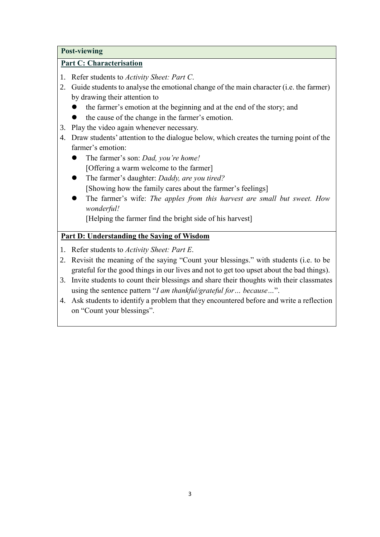#### **Post-viewing**

## **Part C: Characterisation**

- 1. Refer students to *Activity Sheet: Part C*.
- 2. Guide students to analyse the emotional change of the main character (i.e. the farmer) by drawing their attention to
	- the farmer's emotion at the beginning and at the end of the story; and
	- the cause of the change in the farmer's emotion.
- 3. Play the video again whenever necessary.
- 4. Draw students' attention to the dialogue below, which creates the turning point of the farmer's emotion:
	- The farmer's son: *Dad, you're home!*  [Offering a warm welcome to the farmer]
	- The farmer's daughter: *Daddy, are you tired?* [Showing how the family cares about the farmer's feelings]
	- The farmer's wife: *The apples from this harvest are small but sweet. How wonderful!*

[Helping the farmer find the bright side of his harvest]

## **Part D: Understanding the Saying of Wisdom**

- 1. Refer students to *Activity Sheet: Part E*.
- 2. Revisit the meaning of the saying "Count your blessings." with students (i.e. to be grateful for the good things in our lives and not to get too upset about the bad things).
- 3. Invite students to count their blessings and share their thoughts with their classmates using the sentence pattern "*I am thankful/grateful for… because…*".
- 4. Ask students to identify a problem that they encountered before and write a reflection on "Count your blessings".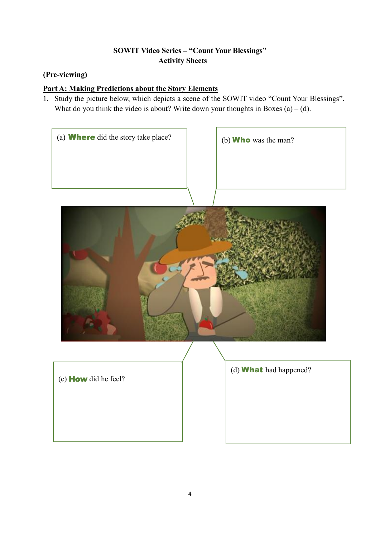# **SOWIT Video Series – "Count Your Blessings" Activity Sheets**

# **(Pre-viewing)**

# **Part A: Making Predictions about the Story Elements**

1. Study the picture below, which depicts a scene of the SOWIT video "Count Your Blessings". What do you think the video is about? Write down your thoughts in Boxes  $(a) - (d)$ .

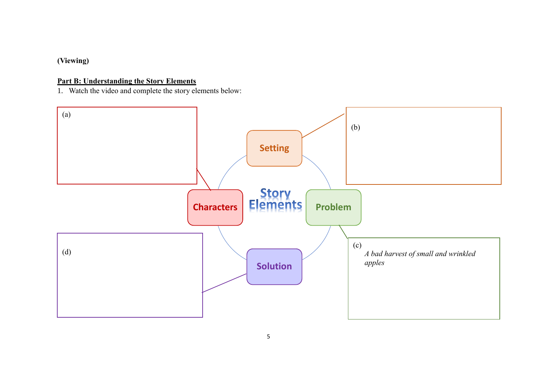# **(Viewing)**

## **Part B: Understanding the Story Elements**

1. Watch the video and complete the story elements below:

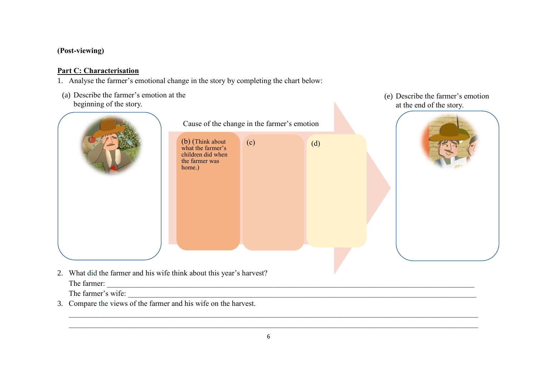## **(Post-viewing)**

## **Part C: Characterisation**

- 1. Analyse the farmer's emotional change in the story by completing the chart below:
- (a) Describe the farmer's emotion at the beginning of the story.



(e) Describe the farmer's emotion at the end of the story.

2. What did the farmer and his wife think about this year's harvest? The farmer: \_\_\_\_\_\_\_\_\_\_\_\_\_\_\_\_\_\_\_\_\_\_\_\_\_\_\_\_\_\_\_\_\_\_\_\_\_\_\_\_\_\_\_\_\_\_\_\_\_\_\_\_\_\_\_\_\_\_\_\_\_\_\_\_\_\_\_\_\_\_\_\_\_\_\_\_\_\_\_\_\_\_\_\_\_\_\_\_\_\_\_\_\_\_\_\_

The farmer's wife:

3. Compare the views of the farmer and his wife on the harvest.

 $\_$  , and the set of the set of the set of the set of the set of the set of the set of the set of the set of the set of the set of the set of the set of the set of the set of the set of the set of the set of the set of th  $\_$  , and the set of the set of the set of the set of the set of the set of the set of the set of the set of the set of the set of the set of the set of the set of the set of the set of the set of the set of the set of th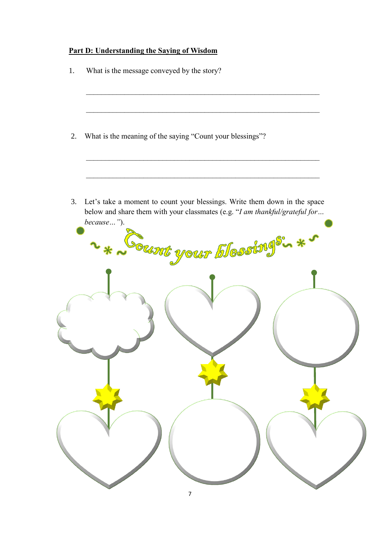## **Part D: Understanding the Saying of Wisdom**

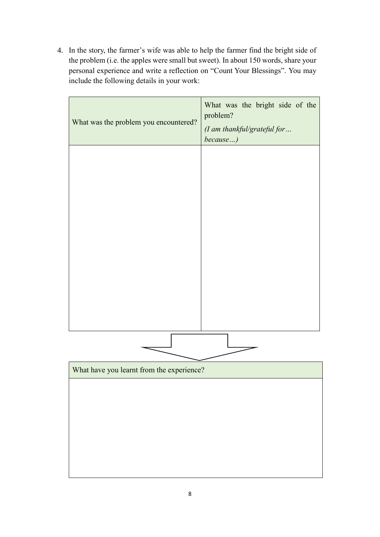4. In the story, the farmer's wife was able to help the farmer find the bright side of the problem (i.e. the apples were small but sweet). In about 150 words, share your personal experience and write a reflection on "Count Your Blessings". You may include the following details in your work:

| What was the problem you encountered?     | What was the bright side of the<br>problem?<br>(I am thankful/grateful for<br>because) |
|-------------------------------------------|----------------------------------------------------------------------------------------|
|                                           |                                                                                        |
|                                           |                                                                                        |
|                                           |                                                                                        |
|                                           |                                                                                        |
|                                           |                                                                                        |
|                                           |                                                                                        |
|                                           |                                                                                        |
|                                           |                                                                                        |
| What have you learnt from the experience? |                                                                                        |
|                                           |                                                                                        |
|                                           |                                                                                        |
|                                           |                                                                                        |
|                                           |                                                                                        |